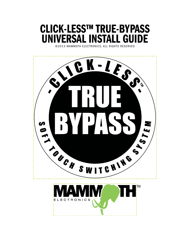# CLICK-LESS™ TRUE-BYPASS UNIVERSAL INSTALL GUIDE

©2013 MAMMOTH ELECTRONICS, ALL RIGHTS RESERVED

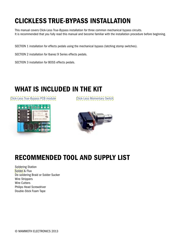#### CLICKLESS TRUE-BYPASS INSTALLATION

This manual covers Click-Less True-Bypass installation for three common mechanical bypass circuits. It is recommended that you fully read this manual and become familiar with the installation procedure before beginning.

SECTION 1 installation for effects pedals using the mechanical bypass (latching stomp switches).

SECTION 2 installation for Ibanez 9 Series effects pedals.

SECTION 3 installation for BOSS effects pedals.

#### WHAT IS INCLUDED IN THE KIT

[Click-Less True-Bypass PCB module](https://www.mammothelectronics.com/ProductDetails.asp%3FProductCode%3DKIT-MMTH-CLICKLESS) [Click-Less Momentary Switch](http://www.mammothelectronics.com/4SFSSPST-M-p/800-1003.htm)





#### RECOMMENDED TOOL AND SUPPLY LIST

Soldering Station [Solder](http://www.mammothelectronics.com/Rosin-Core-Solder-Wire-60-40-SN-PB-190-C-p/1100-500-10f.htm) & Flux De-soldering Braid or Solder Sucker Wire Strippers Wire Cutters Philips Head Screwdriver Double-Stick Foam Tape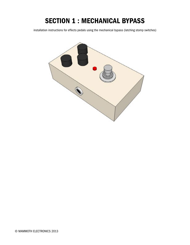#### SECTION 1 : MECHANICAL BYPASS

installation instructions for effects pedals using the mechanical bypass (latching stomp switches)

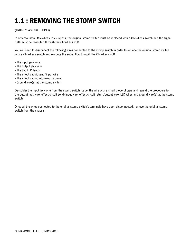## 1.1 : REMOVING THE STOMP SWITCH

#### (TRUE-BYPASS SWITCHING)

In order to install Click-Less True-Bypass, the original stomp switch must be replaced with a Click-Less switch and the signal path must be re-routed through the Click-Less PCB.

You will need to disconnect the following wires connected to the stomp switch in order to replace the original stomp switch with a Click-Less switch and re-route the signal flow through the Click-Less PCB :

- The input jack wire
- The output jack wire
- The two LED leads
- The effect circuit send/input wire
- The effect circuit return/output wire
- Ground wire(s) at the stomp switch

De-solder the input jack wire from the stomp switch. Label the wire with a small piece of tape and repeat the procedure for the output jack wire, effect circuit send/input wire, effect circuit return/output wire, LED wires and ground wire(s) at the stomp switch.

Once all the wires connected to the original stomp switch's terminals have been disconnected, remove the original stomp switch from the chassis.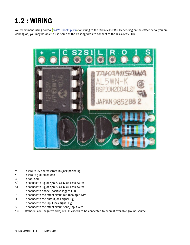## 1.2 : WIRING

We recommend using normal [24AWG hookup wire](http://www.mammothelectronics.com/CHANDLER-CHND-100-2407-p/1100-600-1-10ft.htm) for wiring to the Click-Less PCB. Depending on the effect pedal you are working on, you may be able to use some of the existing wires to connect to the Click-Less PCB.



- + : wire to 9V source (from DC jack power lug)<br>- : wire to ground source
- : wire to ground source<br>C : not used
- : not used
- S2 : connect to lug of N/O SPST Click-Less switch
- S1 : connect to lug of N/O SPST Click-Less switch
- L : connect to anode (positive leg) of LED.
- R : connect to the effect circuit return/output wire
- O : connect to the output jack signal lug
- I : connect to the input jack signal lug
- S : connect to the effect circuit send/input wire

\*NOTE: Cathode side (negative side) of LED vneeds to be connected to nearest available ground source.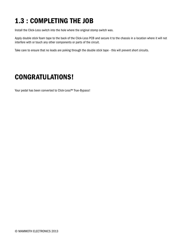## 1.3 : COMPLETING THE JOB

Install the Click-Less switch into the hole where the original stomp switch was.

Apply double stick foam tape to the back of the Click-Less PCB and secure it to the chassis in a location where it will not interfere with or touch any other components or parts of the circuit.

Take care to ensure that no leads are poking through the double stick tape - this will prevent short circuits.

#### CONGRATULATIONS!

Your pedal has been converted to Click-Less™ True-Bypass!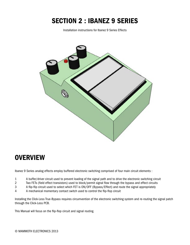#### SECTION 2 : IBANEZ 9 SERIES

Installation instructions for Ibanez 9 Series Effects



#### **OVERVIEW**

Ibanez 9 Series analog effects employ buffered electronic switching comprised of four main circuit elements :

- 1 A buffer/driver circuit used to prevent loading of the signal path and to drive the electronic switching circuit
- 2 Two FETs (field effect transistors) used to block/permit signal flow through the bypass and effect circuits
- 3 A flip-flip circuit used to select which FET is ON/OFF (Bypass/Effect) and route the signal appropriately
- 4 A mechanical momentary contact switch used to control the flip-flop circuit

Installing the Click-Less True-Bypass requires circumvention of the electronic switching system and re-routing the signal patch through the Click-Less PCB.

This Manual will focus on the flip-flop circuit and signal routing.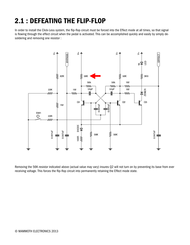## 2.1 : DEFEATING THE FLIP-FLOP

In order to install the Click-Less system, the flip-flop circuit must be forced into the Effect mode at all times, so that signal is flowing through the effect circuit when the pedal is activated. This can be accomplished quickly and easily by simply desoldering and removing one resistor :



Removing the 56K resistor indicated above (actual value may vary) insures Q2 will not turn on by preventing its base from ever receiving voltage. This forces the flip-flop circuit into permanently retaining the Effect mode state.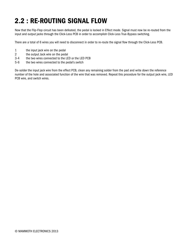## 2.2 : RE-ROUTING SIGNAL FLOW

Now that the Flip-Flop circuit has been defeated, the pedal is locked in Effect mode. Signal must now be re-routed from the input and output jacks through the Click-Less PCB in order to accomplish Click-Less True-Bypass switching.

There are a total of 6 wires you will need to disconnect in order to re-route the signal flow through the Click-Less PCB.

- 1 the input jack wire on the pedal
- 2 the output Jack wire on the pedal
- 3-4 the two wires connected to the LED or the LED PCB
- 5-6 the two wires connected to the pedal's switch

De-solder the input jack wire from the effect PCB, clean any remaining solder from the pad and write down the reference number of the hole and associated function of the wire that was removed. Repeat this procedure for the output jack wire, LED PCB wire, and switch wires.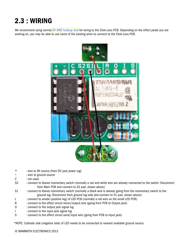## 2.3 : WIRING

We recommend using normal [24 AWG hookup wire](http://www.mammothelectronics.com/CHANDLER-CHND-100-2407-p/1100-600-1-10ft.htm) for wiring to the Click-Less PCB. Depending on the effect pedal you are working on, you may be able to use some of the existing wires to connect to the Click-Less PCB.



- + : wire to 9V source (from DC jack power lug)
- : wire to ground source<br>C : not used
- : not used
- S2 : connect to Ibanez momentary switch (normally a red and white wire are already connected to the switch. Disconnect from Main PCB and connect to S2 pad, shown above)
- S1 : connect to Ibanez momentary switch (normally a black wire is already going from the momentary switch to the ground lug. Disconnect from ground lug side and connect to S1 pad, shown above)
- L : connect to anode (positive leg) of LED PCB (normally a red wire on the small LED PCB)
- R : connect to the effect circuit return/output wire (going from PCB to Output jack)
- O : connect to the output jack signal lug
- I : connect to the input jack signal lug
- S : connect to the effect circuit send/input wire (going from PCB to Input jack)

\*NOTE: Cathode side (negative side) of LED needs to be connected to nearest available ground source.

© MAMMOTH ELECTRONICS 2013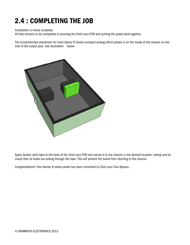## 2.4 : COMPLETING THE JOB

Installation is nearly complete.

All that remains to be completed is securing the Click-Less PCB and putting the pedal back together.

The recommended placement for most ibanez 9-Series compact analog effect pedals is on the inside of the chassis on the side of the output jack. See illustration below:



Apply double stick tape to the back of the Click-Less PCB and secure it to the chassis in the desired location, taking care to insure that no leads are poking through the tape. This will prevent the board from shorting to the chassis.

Congratulations! Your Ibanez 9-series pedal has been converted to Click-Less True-Bypass.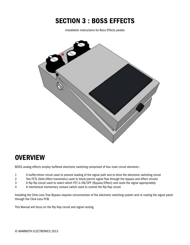#### SECTION 3 : BOSS EFFECTS

Installation instructions for Boss Effects pedals



#### **OVERVIEW**

BOSS analog effects employ buffered electronic switching comprised of four main circuit elements :

- 1 A buffer/driver circuit used to prevent loading of the signal path and to drive the electronic switching circuit
- 2 Two FETs (field effect transistors) used to block/permit signal flow through the bypass and effect circuits<br>3 A flip-flip circuit used to select which FET is ON/OFF (Bypass/Effect) and route the signal appropriately
- 3 A flip-flip circuit used to select which FET is ON/OFF (Bypass/Effect) and route the signal appropriately
- 4 A mechanical momentary contact switch used to control the flip-flop circuit

Installing the Click-Less True-Bypass requires circumvention of the electronic switching system and re-routing the signal patch through the Click-Less PCB.

This Manual will focus on the flip-flop circuit and signal routing.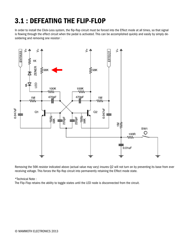## 3.1 : DEFEATING THE FLIP-FLOP

In order to install the Click-Less system, the flip-flop circuit must be forced into the Effect mode at all times, so that signal is flowing through the effect circuit when the pedal is activated. This can be accomplished quickly and easily by simply desoldering and removing one resistor :



Removing the 56K resistor indicated above (actual value may vary) insures Q2 will not turn on by preventing its base from ever receiving voltage. This forces the flip-flop circuit into permanently retaining the Effect mode state.

#### \*Technical Note :

The Flip-Flop retains the ability to toggle states until the LED node is disconnected from the circuit.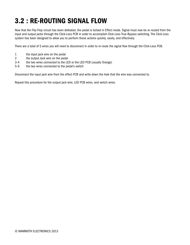## 3.2 : RE-ROUTING SIGNAL FLOW

Now that the Flip-Flop circuit has been defeated, the pedal is locked in Effect mode. Signal must now be re-routed from the input and output jacks through the Click-Less PCB in order to accomplish Click-Less True-Bypass switching. The Click-Less system has been designed to allow you to perform these actions quickly, easily, and effectively.

There are a total of 5 wires you will need to disconnect in order to re-route the signal flow through the Click-Less PCB.

- 1 the input jack wire on the pedal
- 2 the output Jack wire on the pedal
- 3-4 the two wires connected to the LED or the LED PCB (usually Orange)
- 5-6 the two wires connected to the pedal's switch

Disconnect the input jack wire from the effect PCB and write down the hole that the wire was connected to.

Repeat this procedure for the output jack wire, LED PCB wires, and switch wires.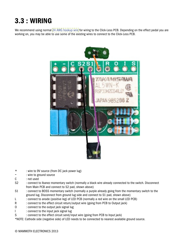## 3.3 : WIRING

We recommend using normal [24 AWG hookup wire](http://www.mammothelectronics.com/CHANDLER-CHND-100-2407-p/1100-600-1-10ft.htm) for wiring to the Click-Less PCB. Depending on the effect pedal you are working on, you may be able to use some of the existing wires to connect to the Click-Less PCB.



- + : wire to 9V source (from DC jack power lug)
- : wire to ground source<br>C : not used
- : not used
- S2 : connect to Ibanez momentary switch (normally a black wire already connected to the switch. Disconnect from Main PCB and connect to S2 pad, shown above)
- S1 : connect to BOSS momentary switch (normally a purple already going from the momentary switch to the ground lug. Disconnect from ground lug side and connect to S1 pad, shown above)
- L : connect to anode (positive leg) of LED PCB (normally a red wire on the small LED PCB)
- R : connect to the effect circuit return/output wire (going from PCB to Output jack)
- O : connect to the output jack signal lug
- I : connect to the input jack signal lug
- S : connect to the effect circuit send/input wire (going from PCB to Input jack)

\*NOTE: Cathode side (negative side) of LED needs to be connected to nearest available ground source.